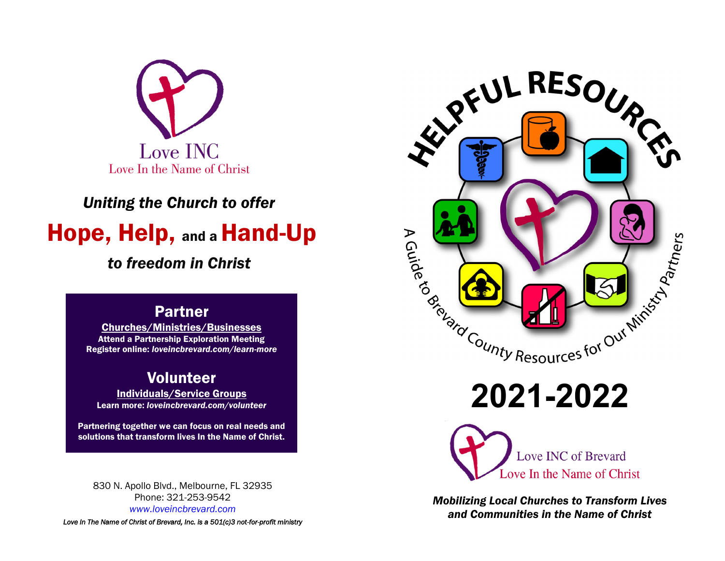

# *Uniting the Church to offer* Hope, Help, and a Hand-Up

## *to freedom in Christ*

## Partner

Churches/Ministries/Businesses Attend a Partnership Exploration Meeting Register online: *loveincbrevard.com/learn-more*

## Volunteer

Individuals/Service Groups Learn more: *loveincbrevard.com/volunteer*

Partnering together we can focus on real needs and solutions that transform lives In the Name of Christ.

830 N. Apollo Blvd., Melbourne, FL 32935 Phone: 321-253-9542 *www.loveincbrevard.com*

*Love In The Name of Christ of Brevard, Inc. is a 501(c)3 not-for-profit ministry*



**2021-2022**



*Mobilizing Local Churches to Transform Lives and Communities in the Name of Christ*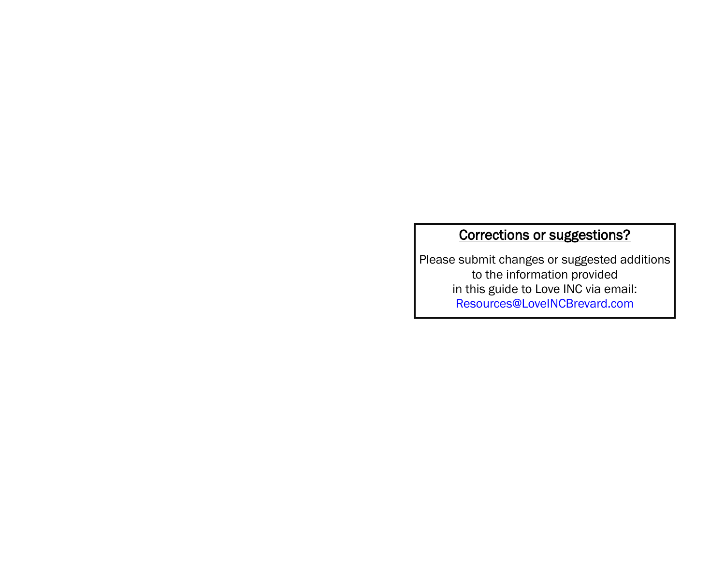## Corrections or suggestions?

Please submit changes or suggested additions to the information provided in this guide to Love INC via email: Resources@LoveINCBrevard.com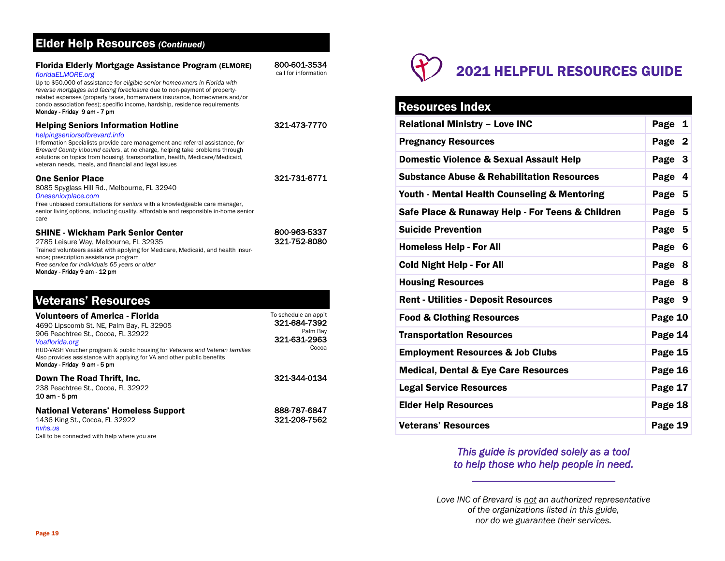## Elder Help Resources *(Continued)*

| <b>Florida Elderly Mortgage Assistance Program (ELMORE)</b><br>floridaELMORE.org<br>Up to \$50,000 of assistance for eligible senior homeowners in Florida with<br>reverse mortgages and facing foreclosure due to non-payment of property-<br>related expenses (property taxes, homeowners insurance, homeowners and/or<br>condo association fees); specific income, hardship, residence requirements<br>Monday - Friday 9 am - 7 pm | 800-601-3534<br>call for information                                      |
|---------------------------------------------------------------------------------------------------------------------------------------------------------------------------------------------------------------------------------------------------------------------------------------------------------------------------------------------------------------------------------------------------------------------------------------|---------------------------------------------------------------------------|
| <b>Helping Seniors Information Hotline</b><br>helpingseniorsofbrevard.info<br>Information Specialists provide care management and referral assistance, for<br>Brevard County inbound callers, at no charge, helping take problems through<br>solutions on topics from housing, transportation, health, Medicare/Medicaid,<br>veteran needs, meals, and financial and legal issues                                                     | 321-473-7770                                                              |
| <b>One Senior Place</b><br>8085 Spyglass Hill Rd., Melbourne, FL 32940<br>Oneseniorplace.com<br>Free unbiased consultations for seniors with a knowledgeable care manager,<br>senior living options, including quality, affordable and responsible in-home senior<br>care                                                                                                                                                             | 321-731-6771                                                              |
| <b>SHINE - Wickham Park Senior Center</b><br>2785 Leisure Way, Melbourne, FL 32935<br>Trained volunteers assist with applying for Medicare, Medicaid, and health insur-<br>ance; prescription assistance program<br>Free service for individuals 65 years or older<br>Monday - Friday 9 am - 12 pm                                                                                                                                    | 800-963-5337<br>321-752-8080                                              |
| <b>Veterans' Resources</b>                                                                                                                                                                                                                                                                                                                                                                                                            |                                                                           |
| <b>Volunteers of America - Florida</b><br>4690 Lipscomb St. NE, Palm Bay, FL 32905<br>906 Peachtree St., Cocoa, FL 32922<br>Voaflorida.org<br>HUD-VASH Voucher program & public housing for Veterans and Veteran families<br>Also provides assistance with applying for VA and other public benefits<br>Monday - Friday 9 am - 5 pm                                                                                                   | To schedule an app't<br>321-684-7392<br>Palm Bay<br>321-631-2963<br>Cocoa |

Down The Road Thrift, Inc. 238 Peachtree St., Cocoa, FL 32922 10 am - 5 pm 321-344-0134 National Veterans' Homeless Support 1436 King St., Cocoa, FL 32922 *nvhs.us*  888-787-6847 321-208-7562

Call to be connected with help where you are

# 2021 HELPFUL RESOURCES GUIDE

## Resources Index

| <b>Relational Ministry - Love INC</b>                 | Page 1    |
|-------------------------------------------------------|-----------|
| <b>Pregnancy Resources</b>                            | Page 2    |
| <b>Domestic Violence &amp; Sexual Assault Help</b>    | Page 3    |
| <b>Substance Abuse &amp; Rehabilitation Resources</b> | Page<br>4 |
| Youth - Mental Health Counseling & Mentoring          | Page 5    |
| Safe Place & Runaway Help - For Teens & Children      | Page 5    |
| <b>Suicide Prevention</b>                             | Page 5    |
| <b>Homeless Help - For All</b>                        | Page 6    |
| <b>Cold Night Help - For All</b>                      | Page 8    |
| <b>Housing Resources</b>                              | Page 8    |
| <b>Rent - Utilities - Deposit Resources</b>           | Page 9    |
| <b>Food &amp; Clothing Resources</b>                  | Page 10   |
| <b>Transportation Resources</b>                       | Page 14   |
| <b>Employment Resources &amp; Job Clubs</b>           | Page 15   |
| <b>Medical, Dental &amp; Eye Care Resources</b>       | Page 16   |
| <b>Legal Service Resources</b>                        | Page 17   |
| <b>Elder Help Resources</b>                           | Page 18   |
| <b>Veterans' Resources</b>                            | Page 19   |

## *This guide is provided solely as a tool to help those who help people in need.*

*\_\_\_\_\_\_\_\_\_\_\_\_\_\_\_\_\_\_\_\_\_\_\_\_\_\_*

*Love INC of Brevard is not an authorized representative of the organizations listed in this guide, nor do we guarantee their services.*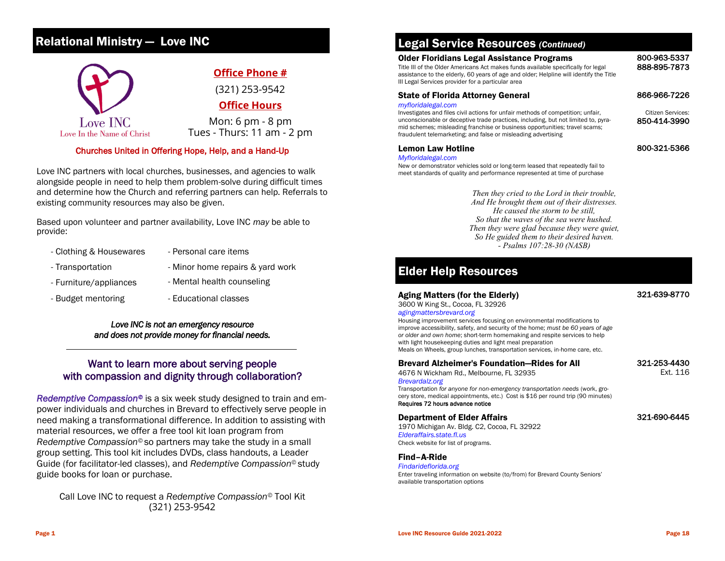## Relational Ministry — Love INC



#### Churches United in Offering Hope, Help, and a Hand-Up

Love INC partners with local churches, businesses, and agencies to walk alongside people in need to help them problem-solve during difficult times and determine how the Church and referring partners can help. Referrals to existing community resources may also be given.

Based upon volunteer and partner availability, Love INC *may* be able to provide:

- Clothing & Housewares Personal care items
- Transportation  **Minor home repairs & yard work**
- Furniture/appliances Mental health counseling
- Budget mentoring The Successive Characteristic Relational classes
- 

#### *Love INC is not an emergency resource and does not provide money for financial needs.*

## Want to learn more about serving people with compassion and dignity through collaboration?

*Redemptive Compassion©* is a six week study designed to train and empower individuals and churches in Brevard to effectively serve people in need making a transformational difference. In addition to assisting with material resources, we offer a free tool kit loan program from *Redemptive Compassion©* so partners may take the study in a small group setting. This tool kit includes DVDs, class handouts, a Leader Guide (for facilitator-led classes), and *Redemptive Compassion©* study guide books for loan or purchase.

Call Love INC to request a *Redemptive Compassion©* Tool Kit (321) 253-9542

## Legal Service Resources *(Continued)*

#### Older Floridians Legal Assistance Programs

Title III of the Older Americans Act makes funds available specifically for legal assistance to the elderly, 60 years of age and older; Helpline will identify the Title III Legal Services provider for a particular area

#### State of Florida Attorney General

#### *myfloridalegal.com*

Investigates and files civil actions for unfair methods of competition; unfair, unconscionable or deceptive trade practices, including, but not limited to, pyramid schemes; misleading franchise or business opportunities; travel scams; fraudulent telemarketing; and false or misleading advertising

#### 800-321-5366

800-963-5337 888-895-7873

866-966-7226 Citizen Services: 850-414-3990

Lemon Law Hotline *Myfloridalegal.com*

New or demonstrator vehicles sold or long-term leased that repeatedly fail to meet standards of quality and performance represented at time of purchase

> *Then they cried to the Lord in their trouble, And He brought them out of their distresses. He caused the storm to be still, So that the waves of the sea were hushed. Then they were glad because they were quiet, So He guided them to their desired haven. - Psalms 107:28-30 (NASB)*

## Elder Help Resources

#### Aging Matters (for the Elderly)

#### 321-639-8770

3600 W King St., Cocoa, FL 32926 *agingmattersbrevard.org* Housing improvement services focusing on environmental modifications to improve accessibility, safety, and security of the home; *must be 60 years of age or older and own home*; short-term homemaking and respite services to help with light housekeeping duties and light meal preparation

Meals on Wheels, group lunches, transportation services, in-home care, etc.

| <b>Brevard Alzheimer's Foundation–Rides for All</b> |  |
|-----------------------------------------------------|--|
| 4676 N Wickham Rd., Melbourne, FL 32935             |  |

#### 321-253-4430 Ext. 116

*Brevardalz.org* Transportation *for anyone for non-emergency transportation needs* (work, grocery store, medical appointments, etc.) Cost is \$16 per round trip (90 minutes)

Requires 72 hours advance notice

#### Department of Elder Affairs

321-690-6445

1970 Michigan Av. Bldg. C2, Cocoa, FL 32922 *Elderaffairs.state.fl.us* Check website for list of programs.

Find–A-Ride

*Findarideflorida.org*

Enter traveling information on website (to/from) for Brevard County Seniors' available transportation options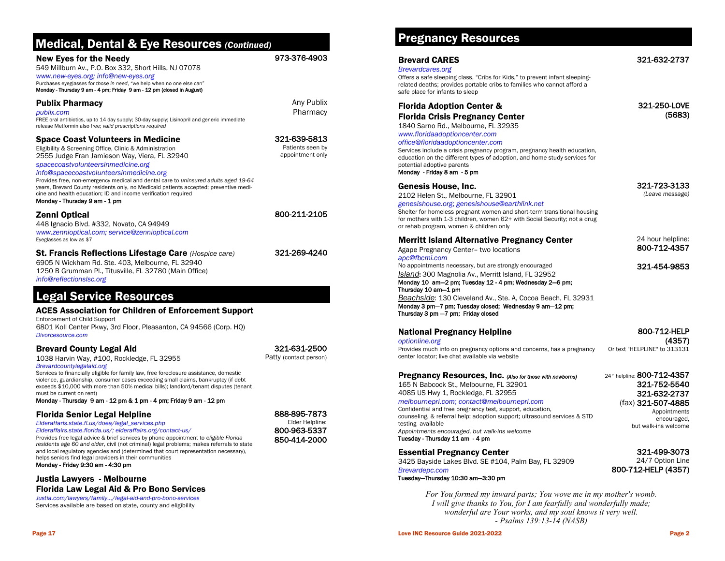## Page 17

## Medical, Dental & Eye Resources *(Continued)*

#### New Eyes for the Needy

549 Millburn Av., P.O. Box 332, Short Hills, NJ 07078 *www.new-eyes.org; info@new-eyes.org*

Purchases eyeglasses for *those in need*, "we help when no one else can" Monday - Thursday 9 am - 4 pm; Friday 9 am - 12 pm (closed in August)

#### Publix Pharmacy

*publix.com* FREE oral antibiotics, up to 14 day supply; 30-day supply; Lisinopril and generic immediate release Metformin also free; *valid prescriptions required*

#### Space Coast Volunteers in Medicine

Eligibility & Screening Office, Clinic & Administration 2555 Judge Fran Jamieson Way, Viera, FL 32940

#### *spacecoastvolunteersinmedicine.org*

*info@spacecoastvolunteersinmedicine.org*

Provides free, non-emergency medical and dental care to *uninsured adults aged 19-64 years*, Brevard County residents only, no Medicaid patients accepted; preventive medicine and health education; ID and income verification required Monday - Thursday 9 am - 1 pm

#### Zenni Optical

448 Ignacio Blvd. #332, Novato, CA 94949 *www.zennioptical.com; service@zennioptical.com* Eyeglasses as low as \$7

#### St. Francis Reflections Lifestage Care *(Hospice care)*

6905 N Wickham Rd. Ste. 403, Melbourne, FL 32940 1250 B Grumman Pl., Titusville, FL 32780 (Main Office) *info@reflectionslsc.org*

## Legal Service Resources

#### ACES Association for Children of Enforcement Support

Enforcement of Child Support 6801 Koll Center Pkwy, 3rd Floor, Pleasanton, CA 94566 (Corp. HQ) *Divorcesource.com*

#### Brevard County Legal Aid

1038 Harvin Way, #100, Rockledge, FL 32955

#### *Brevardcountylegalaid.org*

Services to financially eligible for family law, free foreclosure assistance, domestic violence, guardianship, consumer cases exceeding small claims, bankruptcy (if debt exceeds \$10,000 with more than 50% medical bills); landlord/tenant disputes (tenant must be current on rent)

#### Monday - Thursday 9 am - 12 pm & 1 pm - 4 pm; Friday 9 am - 12 pm

#### Florida Senior Legal Helpline

#### *Elderaffaris.state.fl.us/doea/legal\_services.php*

*Elderaffairs.state.florida.us/; elderaffairs.org/contact-us/* Provides free legal advice & brief services by phone appointment to *eligible Florida residents age 60 and older*, civil (not criminal) legal problems; makes referrals to state and local regulatory agencies and (determined that court representation necessary), helps seniors find legal providers in their communities

#### Monday - Friday 9:30 am - 4:30 pm

#### Justia Lawyers - Melbourne

### Florida Law Legal Aid & Pro Bono Services

*Justia.com/lawyers/family…/legal-aid-and-pro-bono-services* Services available are based on state, county and eligibility

### 321-631-2500 Patty (contact person)

973-376-4903

Any Publix Pharmacy

321-639-5813 Patients seen by appointment only

800-211-2105

321-269-4240

888-895-7873



## Pregnancy Resources

#### Brevard CARES

#### *Brevardcares.org*

Offers a safe sleeping class, "Cribs for Kids," to prevent infant sleepingrelated deaths; provides portable cribs to families who cannot afford a safe place for infants to sleep

#### Florida Adoption Center & Florida Crisis Pregnancy Center

1840 Sarno Rd., Melbourne, FL 32935

#### *www.floridaadoptioncenter.com*

*office@floridaadoptioncenter.com* Services include a crisis pregnancy program, pregnancy health education, education on the different types of adoption, and home study services for potential adoptive parents

#### Monday - Friday 8 am - 5 pm

#### Genesis House, Inc.

2102 Helen St., Melbourne, FL 32901

Agape Pregnancy Center– two locations

*genesishouse.org*; *genesishouse@earthlink.net* Shelter for homeless pregnant women and short-term transitional housing for mothers with 1-3 children, women 62+ with Social Security; not a drug or rehab program, women & children only

#### Merritt Island Alternative Pregnancy Center

24 hour helpline: 800-712-4357

321-723-3133 *(Leave message)*

#### 321-454-9853

No appointments necessary, but are strongly encouraged *Island*: 300 Magnolia Av., Merritt Island, FL 32952 Monday 10 am—2 pm; Tuesday 12 - 4 pm; Wednesday 2—6 pm; Thursday 10 am—1 pm *Beachside*: 130 Cleveland Av., Ste. A, Cocoa Beach, FL 32931 Monday 3 pm—7 pm; Tuesday closed; Wednesday 9 am—12 pm; Thursday 3 pm —7 pm; Friday closed

#### National Pregnancy Helpline

*optionline.org*

*apc@fbcmi.com*

Provides much info on pregnancy options and concerns, has a pregnancy center locator; live chat available via website

#### Pregnancy Resources, Inc. *(Also for those with newborns)*

165 N Babcock St., Melbourne, FL 32901 4085 US Hwy 1, Rockledge, FL 32955 *melbournepri.com*; *contact@melbournepri.com*

Confidential and free pregnancy test, support, education, counseling, & referral help; adoption support; ultrasound services & STD testing available *Appointments encouraged, but walk-ins welcome*

#### Tuesday - Thursday 11 am - 4 pm

#### Essential Pregnancy Center

3425 Bayside Lakes Blvd. SE #104, Palm Bay, FL 32909 *Brevardepc.com*

#### Tuesday—Thursday 10:30 am—3:30 pm

*For You formed my inward parts; You wove me in my mother's womb. I will give thanks to You, for I am fearfully and wonderfully made; wonderful are Your works, and my soul knows it very well. - Psalms 139:13-14 (NASB)*

## 321-632-2737

321-250-LOVE (5683)



800-712-HELP (4357)

Or text "HELPLINE" to 313131 24° helpline: 800-712-4357

#### 321-752-5540 321-632-2737 (fax) 321-507-4885 Appointments encouraged, but walk-ins welcome

321-499-3073

24/7 Option Line 800-712-HELP (4357)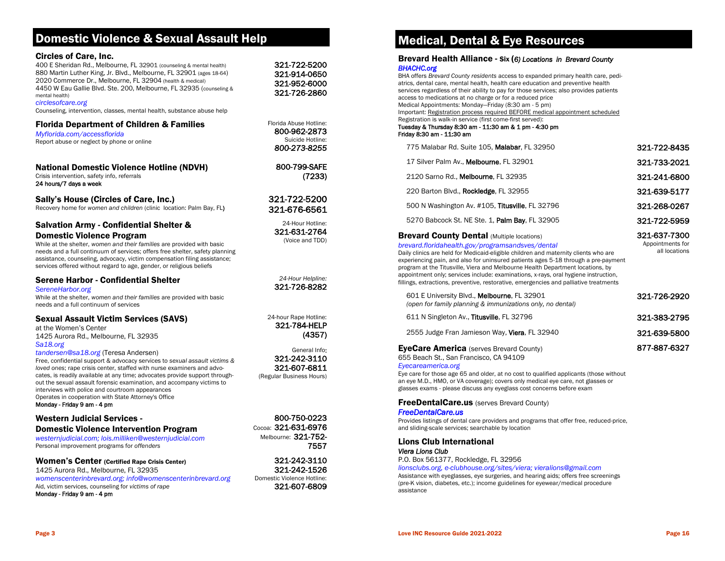## Domestic Violence & Sexual Assault Help

#### Circles of Care, Inc.

| 400 E Sheridan Rd., Melbourne, FL 32901 (counseling & mental health)   |
|------------------------------------------------------------------------|
| 880 Martin Luther King, Jr. Blvd., Melbourne, FL 32901 (ages 18-64)    |
| 2020 Commerce Dr., Melbourne, FL 32904 (health & medical)              |
| 4450 W Eau Gallie Blvd. Ste. 200, Melbourne, FL 32935 (counseling &    |
| mental health)                                                         |
| circlesofcare.org                                                      |
| Counseling, intervention, classes, mental health, substance abuse help |

#### Florida Department of Children & Families

*Myflorida.com/accessflorida* Report abuse or neglect by phone or online

National Domestic Violence Hotline (NDVH) Crisis intervention, safety info, referrals

24 hours/7 days a week

Sally's House (Circles of Care, Inc.)

Recovery home for *women and children* (clinic location: Palm Bay, FL)

#### Salvation Army - Confidential Shelter & Domestic Violence Program

While at the shelter, *women and their families* are provided with basic needs and a full continuum of services; offers free shelter, safety planning assistance, counseling, advocacy, victim compensation filing assistance; services offered without regard to age, gender, or religious beliefs

#### Serene Harbor - Confidential Shelter

*SereneHarbor.org* While at the shelter, *women and their families* are provided with basic needs and a full continuum of services

#### Sexual Assault Victim Services (SAVS)

at the Women's Center 1425 Aurora Rd., Melbourne, FL 32935 *Sa18.org* 

#### *tandersen@sa18.org* (Teresa Andersen)

Free, confidential support & advocacy services to *sexual assault victims & loved ones*; rape crisis center, staffed with nurse examiners and advocates, is readily available at any time; advocates provide support throughout the sexual assault forensic examination, and accompany victims to interviews with police and courtroom appearances Operates in cooperation with State Attorney's Office

Monday - Friday 9 am - 4 pm

#### Western Judicial Services - Domestic Violence Intervention Program

*westernjudicial.com; lois.milliken@westernjudicial.com* Personal improvement programs for *offenders*

#### Women's Center (Certified Rape Crisis Center)

1425 Aurora Rd., Melbourne, FL 32935 *womenscenterinbrevard.org; info@womenscenterinbrevard.org* Aid, victim services, counseling for *victims of rape* Monday - Friday 9 am - 4 pm

Medical, Dental & Eye Resources

#### Brevard Health Alliance - Six (*6) Locations in Brevard County BHACHC.org*

BHA offers *Brevard County residents* access to expanded primary health care, pediatrics, dental care, mental health, health care education and preventive health services regardless of their ability to pay for those services; also provides patients access to medications at no charge or for a reduced price Medical Appointments: Monday—Friday (8:30 am - 5 pm) Important: Registration process required BEFORE medical appointment scheduled

#### Registration is walk-in service (first come-first served): Tuesday & Thursday 8:30 am - 11:30 am & 1 pm - 4:30 pm Friday 8:30 am - 11:30 am

| <b>Brevard County Dental (Multiple locations)</b> | 321-637-7300 |
|---------------------------------------------------|--------------|
| 5270 Babcock St. NE Ste. 1, Palm Bay, FL 32905    | 321-722-5959 |
| 500 N Washington Av. #105, Titusville, FL 32796   | 321-268-0267 |
| 220 Barton Blvd., Rockledge, FL 32955             | 321-639-5177 |
| 2120 Sarno Rd., Melbourne, FL 32935               | 321-241-6800 |
| 17 Silver Palm Av., Melbourne, FL 32901           | 321-733-2021 |
| 775 Malabar Rd. Suite 105, Malabar, FL 32950      | 321-722-8435 |

#### *brevard.floridahealth.gov/programsandsves/dental*

Daily clinics are held for Medicaid-eligible children and maternity clients who are experiencing pain, and also for uninsured patients ages 5-18 through a pre-payment program at the Titusville, Viera and Melbourne Health Department locations, by appointment only; services include: examinations, x-rays, oral hygiene instruction, fillings, extractions, preventive, restorative, emergencies and palliative treatments

| 601 E University Blvd., Melbourne, FL 32901<br>(open for family planning & immunizations only, no dental) | 321-726-2920 |
|-----------------------------------------------------------------------------------------------------------|--------------|
| 611 N Singleton Av., Titusville, FL 32796                                                                 | 321-383-2795 |
| 2555 Judge Fran Jamieson Way, Viera, FL 32940                                                             | 321-639-5800 |
| <b>EyeCare America</b> (serves Brevard County)                                                            | 877-887-6327 |

655 Beach St., San Francisco, CA 94109

#### *Eyecareamerica.org*

Eye care for those age 65 and older, at no cost to qualified applicants (those without an eye M.D., HMO, or VA coverage); covers only medical eye care, not glasses or glasses exams - please discuss any eyeglass cost concerns before exam

#### **FreeDentalCare.us** (serves Brevard County)

#### *FreeDentalCare.us*

Provides listings of dental care providers and programs that offer free, reduced-price, and sliding-scale services; searchable by location

Lions Club International *Viera Lions Club* 

P.O. Box 561377, Rockledge, FL 32956

#### *lionsclubs.org, e-clubhouse.org/sites/viera; vieralions@gmail.com*

Assistance with eyeglasses, eye surgeries, and hearing aids; offers free screenings (pre-K vision, diabetes, etc.); income guidelines for eyewear/medical procedure assistance

Appointments for all locations

24-hour Rape Hotline:

321-722-5200 321-914-0650 321-952-6000 321-726-2860

Florida Abuse Hotline: 800-962-2873 Suicide Hotline: *800-273-8255*

> 800-799-SAFE (7233)

321-722-5200 321-676-6561

24-Hour Hotline: 321-631-2764 (Voice and TDD)

321-784-HELP (4357)

*24-Hour Helpline:* 

General Info: 321-242-3110 321-607-6811 (Regular Business Hours)

800-750-0223 Cocoa: 321-631-6976 Melbourne:321-752- 7557

321-242-3110 321-242-1526 Domestic Violence Hotline: 321-607-6809

# 321-726-8282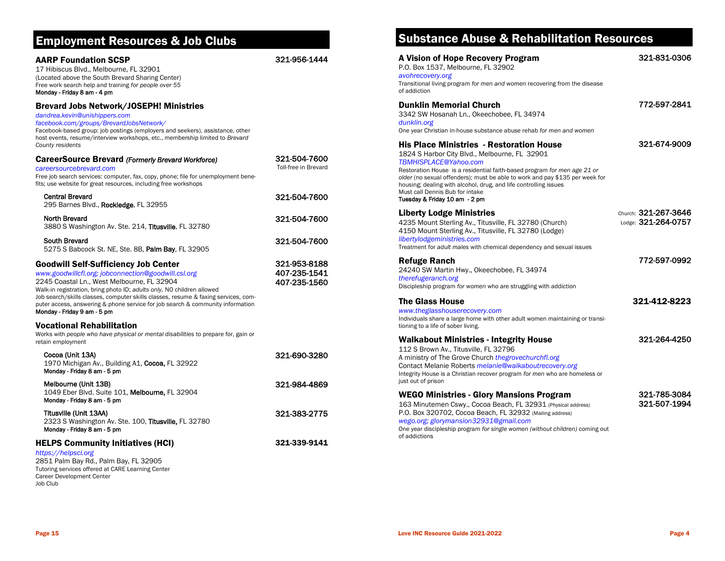## Employment Resources & Job Clubs

#### AARP Foundation SCSP

321-956-1444

321-504-7600 Toll-free in Brevard

321-504-7600

321-504-7600

321-504-7600

321-953-8188 407-235-1541 407-235-1560

17 Hibiscus Blvd., Melbourne, FL 32901 (Located above the South Brevard Sharing Center) Free work search help and training *for people over 55*  Monday - Friday 8 am - 4 pm

#### Brevard Jobs Network/JOSEPH! Ministries

*dandrea.kevin@unishippers.com*

*facebook.com/groups/BrevardJobsNetwork/* 

Facebook-based group: job postings (employers and seekers), assistance, other host events, resume/interview workshops, etc., membership limited to *Brevard County residents*

#### CareerSource Brevard *(Formerly Brevard Workforce)*

*careersourcebrevard.com* Free job search services: computer, fax, copy, phone; file for unemployment benefits; use website for great resources, including free workshops

Central Brevard

295 Barnes Blvd., Rockledge, FL 32955

North Brevard 3880 S Washington Av. Ste. 214, Titusville, FL 32780

South Brevard 5275 S Babcock St. NE, Ste. 8B, Palm Bay, FL 32905

#### Goodwill Self-Sufficiency Job Center

*www.goodwillcfl.org; jobconnection@goodwill.csl.org*  2245 Coastal Ln., West Melbourne, FL 32904 Walk-in registration, bring photo ID; *adults only,* NO children allowed Job search/skills classes, computer skills classes, resume & faxing services, computer access, answering & phone service for job search & community information Monday - Friday 9 am - 5 pm

#### Vocational Rehabilitation

Works with *people who have physical or mental disabilities* to prepare for, gain or retain employment

| Cocoa (Unit 13A)<br>1970 Michigan Av., Building A1, Cocoa, FL 32922<br>Monday - Friday 8 am - 5 pm                                                            | 321-690-3280 |
|---------------------------------------------------------------------------------------------------------------------------------------------------------------|--------------|
| Melbourne (Unit 13B)<br>1049 Eber Blvd. Suite 101, Melbourne, FL 32904<br>Monday - Friday 8 am - 5 pm                                                         | 321-984-4869 |
| Titusville (Unit 13AA)<br>2323 S Washington Av. Ste. 100. Titusville, FL 32780<br>Monday - Friday 8 am - 5 pm                                                 | 321-383-2775 |
| <b>HELPS Community Initiatives (HCI)</b><br>https://helpsci.org<br>2851 Palm Bay Rd., Palm Bay, FL 32905<br>Tutoring services offered at CARE Learning Center | 321-339-9141 |

## Substance Abuse & Rehabilitation Resources

| A Vision of Hope Recovery Program<br>P.O. Box 1537, Melbourne, FL 32902<br>avohrecovery.org<br>Transitional living program for men and women recovering from the disease                                                                                                                                                                                                                                                | 321-831-0306                                |
|-------------------------------------------------------------------------------------------------------------------------------------------------------------------------------------------------------------------------------------------------------------------------------------------------------------------------------------------------------------------------------------------------------------------------|---------------------------------------------|
| of addiction<br><b>Dunklin Memorial Church</b><br>3342 SW Hosanah Ln., Okeechobee, FL 34974<br>dunklin.org<br>One year Christian in-house substance abuse rehab for men and women                                                                                                                                                                                                                                       | 772-597-2841                                |
| His Place Ministries  - Restoration House<br>1824 S Harbor City Blvd., Melbourne, FL 32901<br>TBMHISPLACE@Yahoo.com<br>Restoration House is a residential faith-based program for men age 21 or<br>older (no sexual offenders); must be able to work and pay \$135 per week for<br>housing; dealing with alcohol, drug, and life controlling issues<br>Must call Dennis Bub for intake<br>Tuesday & Friday 10 am - 2 pm | 321-674-9009                                |
| <b>Liberty Lodge Ministries</b><br>4235 Mount Sterling Av., Titusville, FL 32780 (Church)<br>4150 Mount Sterling Av., Titusville, FL 32780 (Lodge)<br>libertylodgeministries.com<br>Treatment for adult males with chemical dependency and sexual issues                                                                                                                                                                | Church: 321-267-3646<br>Lodge: 321-264-0757 |
| <b>Refuge Ranch</b><br>24240 SW Martin Hwy., Okeechobee, FL 34974<br>therefugeranch.org<br>Discipleship program for women who are struggling with addiction                                                                                                                                                                                                                                                             | 772-597-0992                                |
| <b>The Glass House</b><br>www.theglasshouserecovery.com<br>Individuals share a large home with other adult women maintaining or transi-<br>tioning to a life of sober living.                                                                                                                                                                                                                                           | 321-412-8223                                |
| Walkabout Ministries - Integrity House<br>112 S Brown Av., Titusville, FL 32796<br>A ministry of The Grove Church the grove churchfl.org<br>Contact Melanie Roberts <i>melanie@walkaboutrecovery.org</i><br>Integrity House is a Christian recover program for men who are homeless or<br>just out of prison                                                                                                            | 321-264-4250                                |
| <b>WEGO Ministries - Glory Mansions Program</b><br>163 Minutemen Cswy., Cocoa Beach, FL 32931 (Physical address)<br>P.O. Box 320702, Cocoa Beach, FL 32932 (Mailing address)<br>wego.org; glorymansion32931@gmail.com<br>One year discipleship program for single women (without children) coming out<br>of addictions                                                                                                  | 321-785-3084<br>321-507-1994                |

Job Club

Career Development Center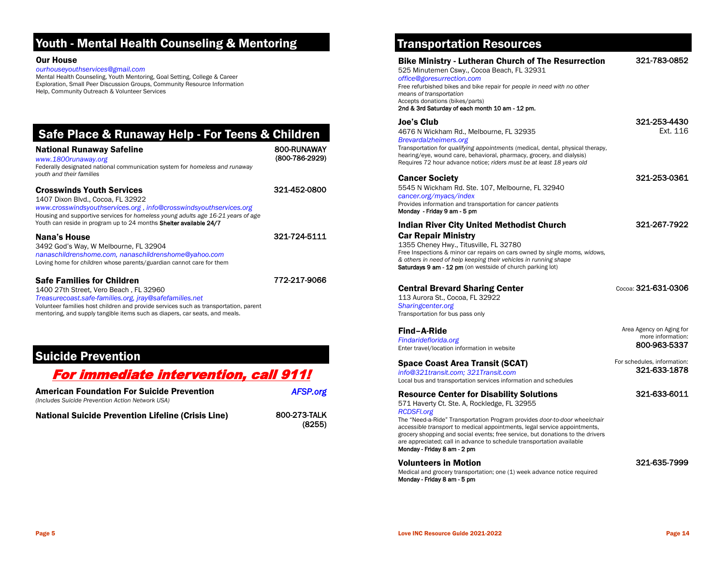## Youth - Mental Health Counseling & Mentoring

#### Our House

#### *ourhouseyouthservices@gmail.com*

Mental Health Counseling, Youth Mentoring, Goal Setting, College & Career Exploration, Small Peer Discussion Groups, Community Resource Information Help, Community Outreach & Volunteer Services

| Safe Place & Runaway Help - For Teens & Children |             |
|--------------------------------------------------|-------------|
| <b>National Runaway Safeline</b>                 | 800-RUNAWAY |

(800-786-2929)

321-452-0800

321-724-5111

772-217-9066

#### National Runaway Safeline *www.1800runaway.org* Federally designated national communication system for *homeless and runaway*

*youth and their families*

#### Crosswinds Youth Services

1407 Dixon Blvd., Cocoa, FL 32922 *www.crosswindsyouthservices.org* , *info@crosswindsyouthservices.org* Housing and supportive services for *homeless young adults age 16-21 years of age* Youth can reside in program up to 24 months Shelter available 24/7

#### Nana's House

3492 God's Way, W Melbourne, FL 32904 *nanaschildrenshome.com, nanaschildrenshome@yahoo.com* Loving home for *children* whose parents/guardian cannot care for them

#### Safe Families for Children

1400 27th Street, Vero Beach , FL 32960

*Treasurecoast.safe-families.org, jray@safefamilies.net*

Volunteer families host children and provide services such as transportation, parent mentoring, and supply tangible items such as diapers, car seats, and meals.

## Suicide Prevention

## For immediate intervention, call 911!

| <b>American Foundation For Suicide Prevention</b><br>(Includes Suicide Prevention Action Network USA) | <b>AFSP.org</b>        |
|-------------------------------------------------------------------------------------------------------|------------------------|
| <b>National Suicide Prevention Lifeline (Crisis Line)</b>                                             | 800-273-TALK<br>(8255) |

## Transportation Resources

| <b>Bike Ministry - Lutheran Church of The Resurrection</b>                                                                                                                                                                                                                                                                                                                                                                                                              | 321-783-0852                                                  |
|-------------------------------------------------------------------------------------------------------------------------------------------------------------------------------------------------------------------------------------------------------------------------------------------------------------------------------------------------------------------------------------------------------------------------------------------------------------------------|---------------------------------------------------------------|
| 525 Minutemen Cswy., Cocoa Beach, FL 32931<br>office@goresurrection.com<br>Free refurbished bikes and bike repair for people in need with no other<br>means of transportation<br>Accepts donations (bikes/parts)<br>2nd & 3rd Saturday of each month 10 am - 12 pm.                                                                                                                                                                                                     |                                                               |
| Joe's Club<br>4676 N Wickham Rd., Melbourne, FL 32935<br>Brevardalzheimers.org<br>Transportation for qualifying appointments (medical, dental, physical therapy,<br>hearing/eye, wound care, behavioral, pharmacy, grocery, and dialysis)<br>Requires 72 hour advance notice; riders must be at least 18 years old                                                                                                                                                      | 321-253-4430<br>Fxt. 116                                      |
| <b>Cancer Society</b><br>5545 N Wickham Rd. Ste. 107, Melbourne, FL 32940<br>cancer.org/myacs/index<br>Provides information and transportation for cancer patients<br>Monday - Friday 9 am - 5 pm                                                                                                                                                                                                                                                                       | 321-253-0361                                                  |
| <b>Indian River City United Methodist Church</b><br><b>Car Repair Ministry</b><br>1355 Cheney Hwy., Titusville, FL 32780<br>Free Inspections & minor car repairs on cars owned by single moms, widows,<br>& others in need of help keeping their vehicles in running shape<br>Saturdays 9 am - 12 pm (on westside of church parking lot)                                                                                                                                | 321-267-7922                                                  |
| <b>Central Brevard Sharing Center</b><br>113 Aurora St., Cocoa, FL 32922<br>Sharingcenter.org<br>Transportation for bus pass only                                                                                                                                                                                                                                                                                                                                       | Cocoa: 321-631-0306                                           |
| Find-A-Ride<br>Findarideflorida.org<br>Enter travel/location information in website                                                                                                                                                                                                                                                                                                                                                                                     | Area Agency on Aging for<br>more information:<br>800-963-5337 |
| <b>Space Coast Area Transit (SCAT)</b><br>info@321transit.com: 321Transit.com<br>Local bus and transportation services information and schedules                                                                                                                                                                                                                                                                                                                        | For schedules, information:<br>321-633-1878                   |
| <b>Resource Center for Disability Solutions</b><br>571 Haverty Ct. Ste. A, Rockledge, FL 32955<br><b>RCDSFI.org</b><br>The "Need-a-Ride" Transportation Program provides door-to-door wheelchair<br>accessible transport to medical appointments, legal service appointments,<br>grocery shopping and social events; free service, but donations to the drivers<br>are appreciated; call in advance to schedule transportation available<br>Monday - Friday 8 am - 2 pm | 321-633-6011                                                  |
| <b>Volunteers in Motion</b><br>Medical and grocery transportation; one (1) week advance notice required<br>Monday - Friday 8 am - 5 pm                                                                                                                                                                                                                                                                                                                                  | 321-635-7999                                                  |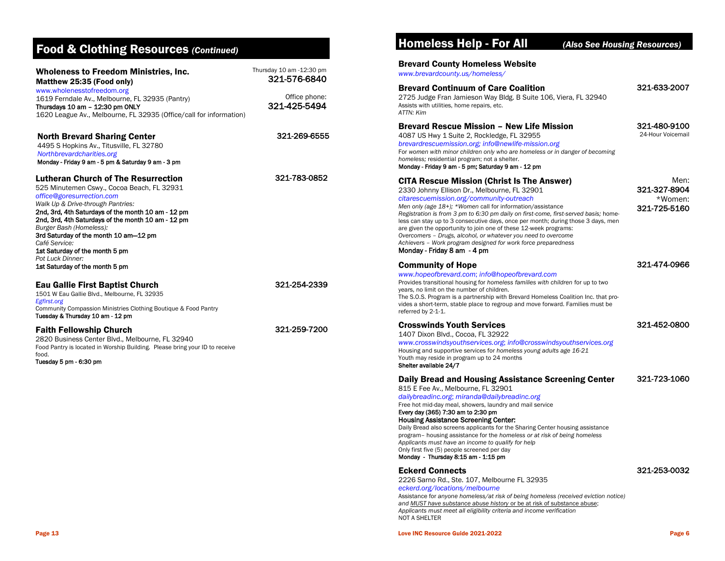## Food & Clothing Resources *(Continued)*

| <b>Wholeness to Freedom Ministries, Inc.</b><br>Matthew 25:35 (Food only)<br>www.wholenesstofreedom.org                                                                                                                                                                                                                                                                                                                                             | Thursday 10 am -12:30 pm<br>321-576-6840 |
|-----------------------------------------------------------------------------------------------------------------------------------------------------------------------------------------------------------------------------------------------------------------------------------------------------------------------------------------------------------------------------------------------------------------------------------------------------|------------------------------------------|
| 1619 Ferndale Av., Melbourne, FL 32935 (Pantry)<br>Thursdays 10 am - 12:30 pm ONLY<br>1620 League Av., Melbourne, FL 32935 (Office/call for information)                                                                                                                                                                                                                                                                                            | Office phone:<br>321-425-5494            |
| <b>North Brevard Sharing Center</b><br>4495 S Hopkins Av., Titusville, FL 32780<br>Northbrevardcharities.org<br>Monday - Friday 9 am - 5 pm & Saturday 9 am - 3 pm                                                                                                                                                                                                                                                                                  | 321-269-6555                             |
| <b>Lutheran Church of The Resurrection</b><br>525 Minutemen Cswy., Cocoa Beach, FL 32931<br>office@goresurrection.com<br>Walk Up & Drive-through Pantries:<br>2nd, 3rd, 4th Saturdays of the month 10 am - 12 pm<br>2nd, 3rd, 4th Saturdays of the month 10 am - 12 pm<br>Burger Bash (Homeless):<br>3rd Saturday of the month 10 am-12 pm<br>Café Service:<br>1st Saturday of the month 5 pm<br>Pot Luck Dinner:<br>1st Saturday of the month 5 pm | 321-783-0852                             |
| Eau Gallie First Baptist Church<br>1501 W Eau Gallie Blvd., Melbourne, FL 32935<br>Egfirst.org<br>Community Compassion Ministries Clothing Boutique & Food Pantry<br>Tuesday & Thursday 10 am - 12 pm                                                                                                                                                                                                                                               | 321-254-2339                             |
| <b>Faith Fellowship Church</b><br>2820 Business Center Blvd., Melbourne, FL 32940<br>Food Pantry is located in Worship Building. Please bring your ID to receive<br>food.<br>Tuesday 5 pm - 6:30 pm                                                                                                                                                                                                                                                 | 321-259-7200                             |

## Homeless Help - For All *(Also See Housing Resources)*

#### Brevard County Homeless Website

Brevard Continuum of Care Coalition

*www.brevardcounty.us/homeless/*

#### 321-633-2007

321-480-9100 24-Hour Voicemail

321-327-8904 \*Women: 321-725-5160

321-474-0966

321-452-0800

321-723-1060

Men:

2725 Judge Fran Jamieson Way Bldg. B Suite 106, Viera, FL 32940 Assists with utilities, home repairs, etc. *ATTN: Kim*

#### Brevard Rescue Mission – New Life Mission

4087 US Hwy 1 Suite 2, Rockledge, FL 32955

#### *brevardrescuemission.org; info@newlife-mission.org*

For *women with minor children only who are homeless or in danger of becoming homeless;* residential program; not a shelter. Monday - Friday 9 am - 5 pm; Saturday 9 am - 12 pm

#### CITA Rescue Mission (Christ Is The Answer)

2330 Johnny Ellison Dr., Melbourne, FL 32901

#### *citarescuemission.org/community-outreach*

*Men only (age 18+); \*Women* call for information/assistance *Registration is from 3 pm to 6:30 pm daily on first-come, first-served basis;* homeless can stay up to 3 consecutive days, once per month; during those 3 days, men are given the opportunity to join one of these 12-week programs: *Overcomers – Drugs, alcohol, or whatever you need to overcome Achievers – Work program designed for work force preparedness*

#### Monday - Friday 8 am - 4 pm

#### Community of Hope *www.hopeofbrevard.com*; *info@hopeofbrevard.com* Provides transitional housing for *homeless families with children* for up to two years, no limit on the number of children. The S.O.S. Program is a partnership with Brevard Homeless Coalition Inc. that provides a short-term, stable place to regroup and move forward. Families must be referred by 2-1-1.

#### Crosswinds Youth Services

1407 Dixon Blvd., Cocoa, FL 32922

*www.crosswindsyouthservices.org*; *info@crosswindsyouthservices.org* Housing and supportive services for *homeless young adults age 16-21* Youth may reside in program up to 24 months Shelter available 24/7

#### Daily Bread and Housing Assistance Screening Center

815 E Fee Av., Melbourne, FL 32901

#### *dailybreadinc.org*; *miranda@dailybreadinc.org*

Free hot mid-day meal, showers, laundry and mail service

#### Every day (365) 7:30 am to 2:30 pm Housing Assistance Screening Center:

Daily Bread also screens applicants for the Sharing Center housing assistance program– housing assistance for the *homeless or at risk of being homeless Applicants must have an income to qualify for help* Only first five (5) people screened per day Monday - Thursday 8:15 am - 1:15 pm

#### Eckerd Connects

2226 Sarno Rd., Ste. 107, Melbourne FL 32935 *eckerd.org/locations/melbourne* Assistance for *anyone homeless/at risk of being homeless (received eviction notice) and MUST have substance abuse history* or be at risk of substance abuse; *Applicants must meet all eligibility criteria and income verification* NOT A SHELTER

Page 13 Love INC Resource Guide 2021-2022 Page 6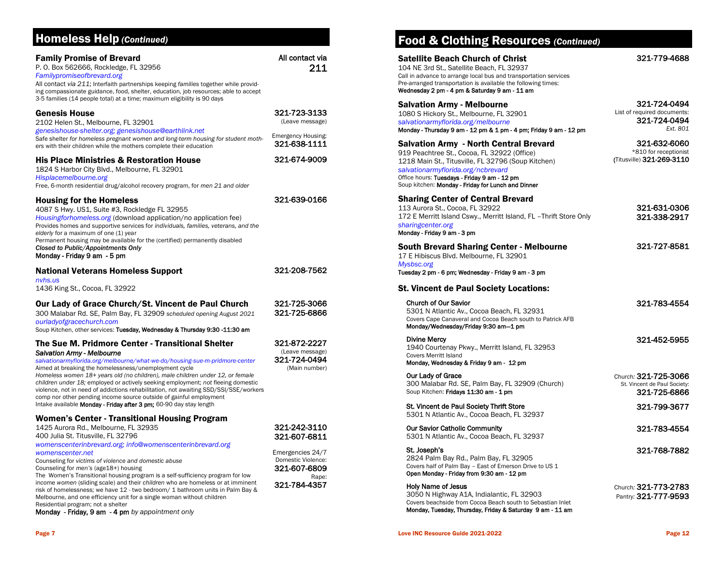| <b>Homeless Help (Continued)</b>                                                                                                                                                                                                                                                                                                                                                                      |                                                                  | <b>Food &amp; Clothing Resources</b>                                                                                                                                                                                                                                                          |
|-------------------------------------------------------------------------------------------------------------------------------------------------------------------------------------------------------------------------------------------------------------------------------------------------------------------------------------------------------------------------------------------------------|------------------------------------------------------------------|-----------------------------------------------------------------------------------------------------------------------------------------------------------------------------------------------------------------------------------------------------------------------------------------------|
| <b>Family Promise of Brevard</b><br>P. O. Box 562666, Rockledge, FL 32956<br>Familypromiseofbrevard.org<br>All contact via 211; Interfaith partnerships keeping families together while provid-<br>ing compassionate guidance, food, shelter, education, job resources; able to accept<br>3-5 families (14 people total) at a time; maximum eligibility is 90 days                                    | All contact via<br>211                                           | <b>Satellite Beach Church of Christ</b><br>104 NE 3rd St., Satellite Beach, FL 32937<br>Call in advance to arrange local bus and transportation s<br>Pre-arranged transportation is available the following tim<br>Wednesday 2 pm - 4 pm & Saturday 9 am - 11 am                              |
| <b>Genesis House</b><br>2102 Helen St., Melbourne, FL 32901<br>genesishouse-shelter.org; genesishouse@earthlink.net<br>Safe shelter for homeless pregnant women and long-term housing for student moth-                                                                                                                                                                                               | 321-723-3133<br>(Leave message)<br>Emergency Housing:            | <b>Salvation Army - Melbourne</b><br>1080 S Hickory St., Melbourne, FL 32901<br>salvationarmyflorida.org/melbourne<br>Monday - Thursday 9 am - 12 pm & 1 pm - 4 pm; Friday 9                                                                                                                  |
| ers with their children while the mothers complete their education<br><b>His Place Ministries &amp; Restoration House</b><br>1824 S Harbor City Blvd., Melbourne, FL 32901<br>Hisplacemelbourne.org<br>Free, 6-month residential drug/alcohol recovery program, for men 21 and older                                                                                                                  | 321-638-1111<br>321-674-9009                                     | <b>Salvation Army - North Central Brevard</b><br>919 Peachtree St., Cocoa, FL 32922 (Office)<br>1218 Main St., Titusville, FL 32796 (Soup Kitcher<br>salvationarmyflorida.org/ncbrevard<br>Office hours: Tuesdays - Friday 9 am - 12 pm<br>Soup kitchen: Monday - Friday for Lunch and Dinner |
| <b>Housing for the Homeless</b><br>4087 S Hwy. US1, Suite #3, Rockledge FL 32955<br>Housingforhomeless.org (download application/no application fee)<br>Provides homes and supportive services for individuals, families, veterans, and the<br>elderly for a maximum of one (1) year<br>Permanent housing may be available for the (certified) permanently disabled                                   | 321-639-0166                                                     | <b>Sharing Center of Central Brevard</b><br>113 Aurora St., Cocoa, FL 32922<br>172 E Merritt Island Cswy., Merritt Island, FL -Thr<br>sharingcenter.org<br>Monday - Friday 9 am - 3 pm                                                                                                        |
| Closed to Public/Appointments Only<br>Monday - Friday 9 am - 5 pm<br><b>National Veterans Homeless Support</b>                                                                                                                                                                                                                                                                                        | 321-208-7562                                                     | <b>South Brevard Sharing Center - Melbor</b><br>17 E Hibiscus Blvd. Melbourne, FL 32901<br>Mysbsc.org<br>Tuesday 2 pm - 6 pm; Wednesday - Friday 9 am - 3 pm                                                                                                                                  |
| nvhs.us<br>1436 King St., Cocoa, FL 32922                                                                                                                                                                                                                                                                                                                                                             |                                                                  | <b>St. Vincent de Paul Society Locations:</b>                                                                                                                                                                                                                                                 |
| Our Lady of Grace Church/St. Vincent de Paul Church<br>300 Malabar Rd. SE, Palm Bay, FL 32909 scheduled opening August 2021<br>ourladyofgracechurch.com<br>Soup Kitchen, other services: Tuesday, Wednesday & Thursday 9:30 -11:30 am                                                                                                                                                                 | 321-725-3066<br>321-725-6866                                     | <b>Church of Our Savior</b><br>5301 N Atlantic Av., Cocoa Beach, FL 32931<br>Covers Cape Canaveral and Cocoa Beach south to Pat<br>Monday/Wednesday/Friday 9:30 am-1 pm                                                                                                                       |
| The Sue M. Pridmore Center - Transitional Shelter<br>Salvation Army - Melbourne<br>salvationarmyflorida.org/melbourne/what-we-do/housing-sue-m-pridmore-center<br>Aimed at breaking the homelessness/unemployment cycle                                                                                                                                                                               | 321-872-2227<br>(Leave message)<br>321-724-0494<br>(Main number) | <b>Divine Mercy</b><br>1940 Courtenay Pkwy., Merritt Island, FL 3295<br><b>Covers Merritt Island</b><br>Monday, Wednesday & Friday 9 am - 12 pm                                                                                                                                               |
| Homeless women 18+ years old (no children), male children under 12, or female<br>children under 18; employed or actively seeking employment; not fleeing domestic<br>violence, not in need of addictions rehabilitation, not awaiting SSD/SSI/SSE/workers<br>comp nor other pending income source outside of gainful employment<br>Intake available Monday - Friday after 3 pm; 60-90 day stay length |                                                                  | Our Lady of Grace<br>300 Malabar Rd. SE, Palm Bay, FL 32909 (Chu<br>Soup Kitchen: Fridays 11:30 am - 1 pm                                                                                                                                                                                     |
| <b>Women's Center - Transitional Housing Program</b>                                                                                                                                                                                                                                                                                                                                                  |                                                                  | St. Vincent de Paul Society Thrift Store<br>5301 N Atlantic Av., Cocoa Beach, FL 32937                                                                                                                                                                                                        |
| 1425 Aurora Rd., Melbourne, FL 32935<br>400 Julia St. Titusville, FL 32796<br>womenscenterinbrevard.org; info@womenscenterinbrevard.org                                                                                                                                                                                                                                                               | 321-242-3110<br>321-607-6811                                     | <b>Our Savior Catholic Community</b><br>5301 N Atlantic Av., Cocoa Beach, FL 32937                                                                                                                                                                                                            |
| womenscenter.net<br>Counseling for victims of violence and domestic abuse<br>Counseling for men's (age18+) housing<br>The Women's Transitional housing program is a self-sufficiency program for low                                                                                                                                                                                                  | Emergencies 24/7<br>Domestic Violence:<br>321-607-6809<br>Rape:  | St. Joseph's<br>2824 Palm Bay Rd., Palm Bay, FL 32905<br>Covers half of Palm Bay - East of Emerson Drive to US<br>Open Monday - Friday from 9:30 am - 12 pm                                                                                                                                   |
| income women (sliding scale) and their children who are homeless or at imminent<br>risk of homelessness; we have 12 - two bedroom/ 1 bathroom units in Palm Bay &<br>Melbourne, and one efficiency unit for a single woman without children                                                                                                                                                           | 321-784-4357                                                     | <b>Holy Name of Jesus</b><br>3050 N Highway A1A, Indialantic, FL 32903                                                                                                                                                                                                                        |

## $\overline{\textbf{e}}$ S (Continued)

| Call in advance to arrange local bus and transportation services<br>Pre-arranged transportation is available the following times:<br>Wednesday 2 pm - 4 pm & Saturday 9 am - 11 am                                                                                                       |                                                                         |
|------------------------------------------------------------------------------------------------------------------------------------------------------------------------------------------------------------------------------------------------------------------------------------------|-------------------------------------------------------------------------|
| Salvation Army - Melbourne<br>1080 S Hickory St., Melbourne, FL 32901<br>salvationarmyflorida.org/melbourne<br>Monday - Thursday 9 am - 12 pm & 1 pm - 4 pm; Friday 9 am - 12 pm                                                                                                         | 321-724-0494<br>List of required documents:<br>321-724-0494<br>Ext. 801 |
| Salvation Army  - North Central Brevard<br>919 Peachtree St., Cocoa, FL 32922 (Office)<br>1218 Main St., Titusville, FL 32796 (Soup Kitchen)<br>salvationarmyflorida.org/ncbrevard<br>Office hours: Tuesdays - Friday 9 am - 12 pm<br>Soup kitchen: Monday - Friday for Lunch and Dinner | 321-632-6060<br>*810 for receptionist<br>(Titusville) 321-269-3110      |
| <b>Sharing Center of Central Brevard</b><br>113 Aurora St., Cocoa, FL 32922<br>172 E Merritt Island Cswy., Merritt Island, FL -Thrift Store Only<br>sharingcenter.org<br>Monday - Friday 9 am - 3 pm                                                                                     | 321-631-0306<br>321-338-2917                                            |
| South Brevard Sharing Center - Melbourne<br>17 E Hibiscus Blvd. Melbourne, FL 32901<br>Mysbsc.org<br>Tuesday 2 pm - 6 pm; Wednesday - Friday 9 am - 3 pm                                                                                                                                 | 321-727-8581                                                            |
| <b>St. Vincent de Paul Society Locations:</b>                                                                                                                                                                                                                                            |                                                                         |
| <b>Church of Our Savior</b><br>5301 N Atlantic Av., Cocoa Beach, FL 32931<br>Covers Cape Canaveral and Cocoa Beach south to Patrick AFB<br>Monday/Wednesday/Friday 9:30 am-1 pm                                                                                                          | 321-783-4554                                                            |
| <b>Divine Mercy</b><br>1940 Courtenay Pkwy., Merritt Island, FL 32953<br><b>Covers Merritt Island</b><br>Monday, Wednesday & Friday 9 am - 12 pm                                                                                                                                         | 321-452-5955                                                            |
| Our Lady of Grace<br>300 Malabar Rd. SE, Palm Bay, FL 32909 (Church)<br>Soup Kitchen: Fridays 11:30 am - 1 pm                                                                                                                                                                            | Church: 321-725-3066<br>St. Vincent de Paul Society:<br>321-725-6866    |
| St. Vincent de Paul Society Thrift Store<br>5301 N Atlantic Av., Cocoa Beach, FL 32937                                                                                                                                                                                                   | 321-799-3677                                                            |
| <b>Our Savior Catholic Community</b><br>5301 N Atlantic Av., Cocoa Beach, FL 32937                                                                                                                                                                                                       | 321-783-4554                                                            |
| St. Joseph's<br>2824 Palm Bay Rd., Palm Bay, FL 32905<br>Covers half of Palm Bay - East of Emerson Drive to US 1<br>Open Monday - Friday from 9:30 am - 12 pm                                                                                                                            | 321-768-7882                                                            |
| <b>Holy Name of Jesus</b><br>3050 N Highway A1A, Indialantic, FL 32903<br>Covers beachside from Cocoa Beach south to Sebastian Inlet<br>Monday, Tuesday, Thursday, Friday & Saturday 9 am - 11 am                                                                                        | Church: 321-773-2783<br>Pantry: 321-777-9593                            |

321-779-4688

Residential program; not a shelter

Monday - Friday, 9 am - 4 pm *by appointment only*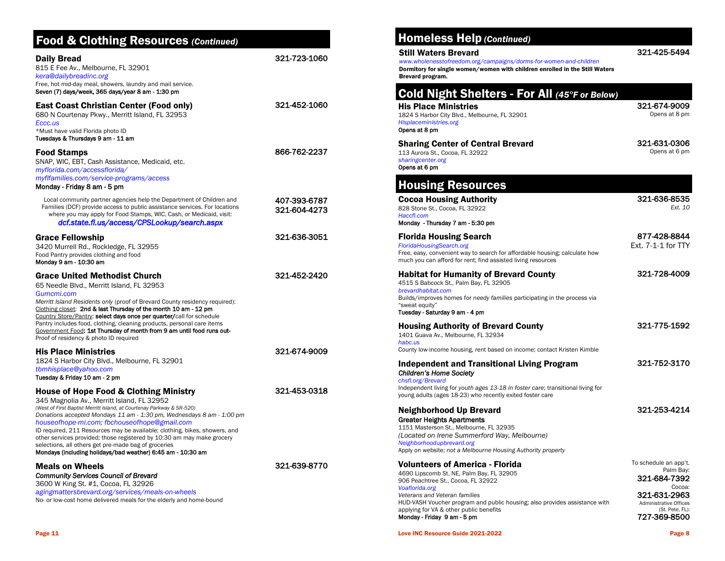## Food & Clothing Resources *(Continued)*

| <b>Daily Bread</b><br>815 E Fee Av., Melbourne, FL 32901<br>kera@dailybreadinc.org<br>Free, hot mid-day meal, showers, laundry and mail service.<br>Seven (7) days/week, 365 days/year 8 am - 1:30 pm                                                                                                                                                                                                                                                                                                                                                                            | 321-723-1060                 |
|----------------------------------------------------------------------------------------------------------------------------------------------------------------------------------------------------------------------------------------------------------------------------------------------------------------------------------------------------------------------------------------------------------------------------------------------------------------------------------------------------------------------------------------------------------------------------------|------------------------------|
| East Coast Christian Center (Food only)<br>680 N Courtenay Pkwy., Merritt Island, FL 32953<br>Eccc.us<br>*Must have valid Florida photo ID<br>Tuesdays & Thursdays 9 am - 11 am                                                                                                                                                                                                                                                                                                                                                                                                  | 321-452-1060                 |
| <b>Food Stamps</b><br>SNAP, WIC, EBT, Cash Assistance, Medicaid, etc.<br>myflorida.com/accessflorida/<br>myflfamilies.com/service-programs/access<br>Monday - Friday 8 am - 5 pm                                                                                                                                                                                                                                                                                                                                                                                                 | 866-762-2237                 |
| Local community partner agencies help the Department of Children and<br>Families (DCF) provide access to public assistance services. For locations<br>where you may apply for Food Stamps, WIC, Cash, or Medicaid, visit:<br>dcf.state.fl.us/access/CPSLookup/search.aspx                                                                                                                                                                                                                                                                                                        | 407-393-6787<br>321-604-4273 |
| <b>Grace Fellowship</b><br>3420 Murrell Rd., Rockledge, FL 32955<br>Food Pantry provides clothing and food<br>Monday 9 am - 10:30 am                                                                                                                                                                                                                                                                                                                                                                                                                                             | 321-636-3051                 |
| <b>Grace United Methodist Church</b><br>65 Needle Blvd., Merritt Island, FL 32953<br>Gumcmi.com<br>Merritt Island Residents only (proof of Brevard County residency required):<br>Clothing closet: 2nd & last Thursday of the month 10 am - 12 pm<br>Country Store/Pantry: select days once per quarter/call for schedule<br>Pantry includes food, clothing, cleaning products, personal care items<br>Government Food: 1st Thursday of month from 9 am until food runs out-<br>Proof of residency & photo ID required                                                           | 321-452-2420                 |
| <b>His Place Ministries</b><br>1824 S Harbor City Blvd., Melbourne, FL 32901<br>tbmhisplace@yahoo.com<br>Tuesday & Friday 10 am - 2 pm                                                                                                                                                                                                                                                                                                                                                                                                                                           | 321-674-9009                 |
| <b>House of Hope Food &amp; Clothing Ministry</b><br>345 Magnolia Av., Merritt Island, FL 32952<br>(West of First Baptist Merritt Island, at Courtenay Parkway & SR-520)<br>Donations accepted Mondays 11 am - 1:30 pm, Wednesdays 8 am - 1:00 pm<br>houseofhope-mi.com; fbchouseofhope@gmail.com<br>ID required, 211 Resources may be available; clothing, bikes, showers, and<br>other services provided; those registered by 10:30 am may make grocery<br>selections, all others get pre-made bag of groceries<br>Mondays (including holidays/bad weather) 6:45 am - 10:30 am | 321-453-0318                 |
| <b>Meals on Wheels</b><br><b>Community Services Council of Brevard</b><br>3600 W King St. #1, Cocoa, FL 32926<br>agingmattersbrevard.org/services/meals-on-wheels<br>No- or low-cost home delivered meals for the elderly and home-bound                                                                                                                                                                                                                                                                                                                                         | 321-639-8770                 |

## Homeless Help *(Continued)*

#### Still Waters Brevard

*www.wholenesstofreedom.org/campaigns/dorms-for-women-and-children* Dormitory for single women/women with children enrolled in the Still Waters Brevard program.

#### Housing Resources [Cocoa Housing Authority](javascript:%20OpenProgram() 828 Stone St., Cocoa, FL 32922 *Haccfl.com* Monday - Thursday 7 am - 5:30 pm 321-636-8535 *Ext. 10* Florida Housing Search *FloridaHousingSearch.org* Free, easy, convenient way to search for affordable housing; calculate how much you can afford for rent; find assisted living resources 877-428-8844 Ext. 7-1-1 for TTY Habitat for Humanity of Brevard County 4515 S Babcock St., Palm Bay, FL 32905 *brevardhabitat.com* Builds/improves homes for *needy families* participating in the process via "sweat equity" Tuesday - Saturday 9 am - 4 pm 321-728-4009 Housing Authority of Brevard County 1401 Guava Av., Melbourne, FL 32934 *habc.us*  County low-income housing, rent based on income; contact Kristen Kimble 321-775-1592 Independent and Transitional Living Program *Children's Home Society chsfl.org/Brevard* Independent living for *youth ages 13-18 in foster care*; transitional living for young adults (ages 18-23) who recently exited foster care 321-752-3170 Neighborhood Up Brevard Greater Heights Apartments 1151 Masterson St., Melbourne, FL 32935 *(Located on Irene Summerford Way, Melbourne) Neighborhoodupbrevard.org* Apply on website; *not a Melbourne Housing Authority property*  321-253-4214 Volunteers of America - Florida 4690 Lipscomb St. NE, Palm Bay, FL 32905 906 Peachtree St., Cocoa, FL 32922 *Voaflorida.org Veterans and Veteran families*  To schedule an app't. Palm Bay: 321-684-7392 Cocoa: 321-631-2963 His Place Ministries 1824 S Harbor City Blvd., Melbourne, FL 32901 *Hisplaceministries.org* Opens at 8 pm 321-674-9009 Opens at 8 pm Sharing Center of Central Brevard 113 Aurora St., Cocoa, FL 32922 *sharingcenter.org* Opens at 6 pm 321-631-0306 Opens at 6 pm Cold Night Shelters - For All *(45°F or Below)*

Love INC Resource Guide 2021-2022 Page 8

applying for VA & other public benefits Monday - Friday 9 am - 5 pm

HUD-VASH Voucher program and public housing; also provides assistance with

Administrative Offices (St. Pete, FL): 727-369-8500

321-425-5494